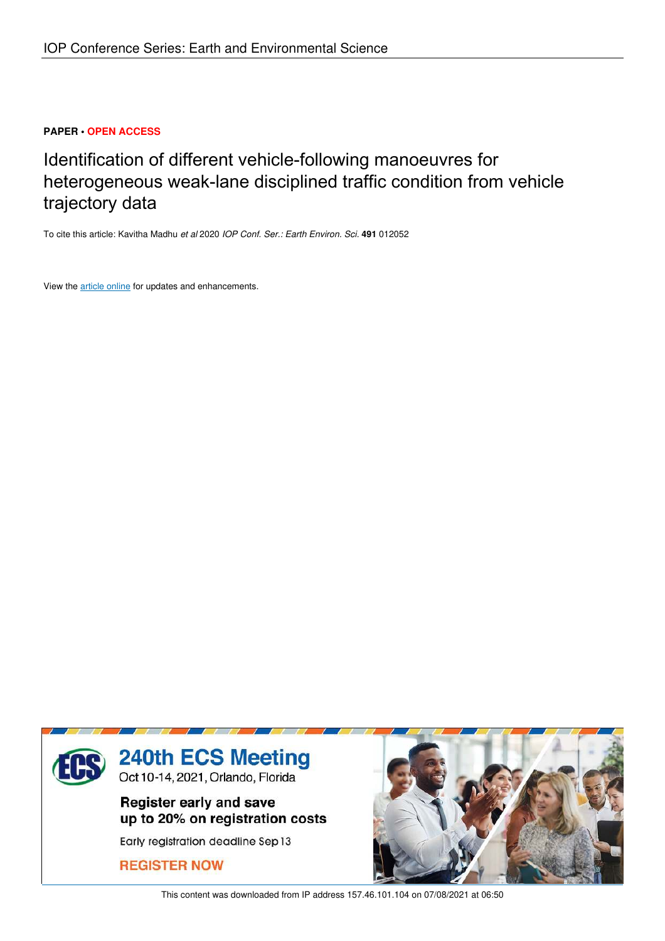# **PAPER • OPEN ACCESS**

# Identification of different vehicle-following manoeuvres for heterogeneous weak-lane disciplined traffic condition from vehicle trajectory data

To cite this article: Kavitha Madhu *et al* 2020 *IOP Conf. Ser.: Earth Environ. Sci.* **491** 012052

View the article online for updates and enhancements.



This content was downloaded from IP address 157.46.101.104 on 07/08/2021 at 06:50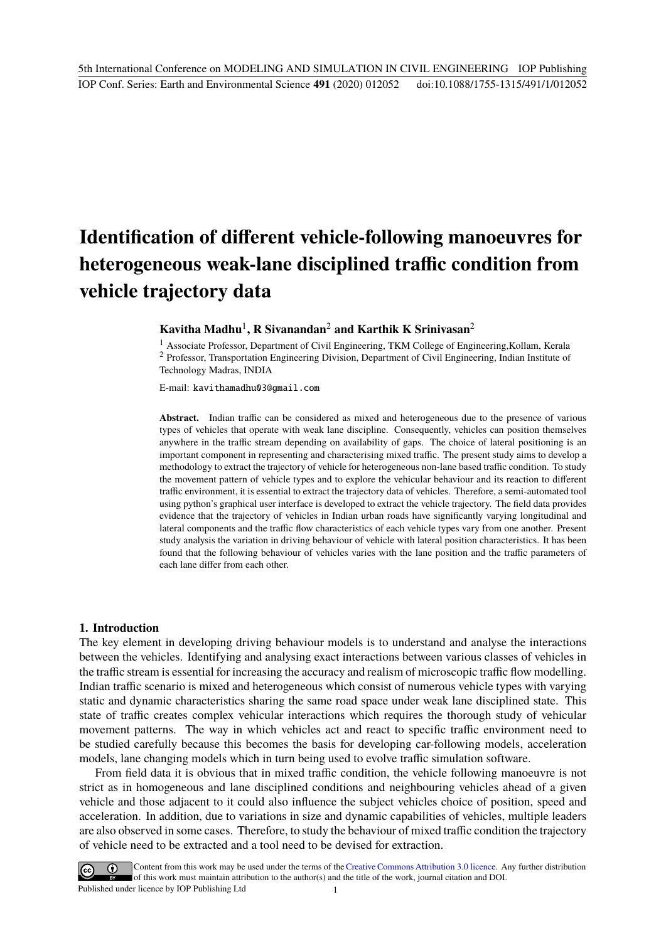# **Identification of different vehicle-following manoeuvres for heterogeneous weak-lane disciplined traffic condition from vehicle trajectory data**

# **Kavitha Madhu**<sup>1</sup> **, R Sivanandan**<sup>2</sup> **and Karthik K Srinivasan**<sup>2</sup>

<sup>1</sup> Associate Professor, Department of Civil Engineering, TKM College of Engineering,Kollam, Kerala <sup>2</sup> Professor, Transportation Engineering Division, Department of Civil Engineering, Indian Institute of Technology Madras, INDIA

E-mail: kavithamadhu03@gmail.com

Abstract. Indian traffic can be considered as mixed and heterogeneous due to the presence of various types of vehicles that operate with weak lane discipline. Consequently, vehicles can position themselves anywhere in the traffic stream depending on availability of gaps. The choice of lateral positioning is an important component in representing and characterising mixed traffic. The present study aims to develop a methodology to extract the trajectory of vehicle for heterogeneous non-lane based traffic condition. To study the movement pattern of vehicle types and to explore the vehicular behaviour and its reaction to different traffic environment, it is essential to extract the trajectory data of vehicles. Therefore, a semi-automated tool using python's graphical user interface is developed to extract the vehicle trajectory. The field data provides evidence that the trajectory of vehicles in Indian urban roads have significantly varying longitudinal and lateral components and the traffic flow characteristics of each vehicle types vary from one another. Present study analysis the variation in driving behaviour of vehicle with lateral position characteristics. It has been found that the following behaviour of vehicles varies with the lane position and the traffic parameters of each lane differ from each other.

#### **1. Introduction**

The key element in developing driving behaviour models is to understand and analyse the interactions between the vehicles. Identifying and analysing exact interactions between various classes of vehicles in the traffic stream is essential for increasing the accuracy and realism of microscopic traffic flow modelling. Indian traffic scenario is mixed and heterogeneous which consist of numerous vehicle types with varying static and dynamic characteristics sharing the same road space under weak lane disciplined state. This state of traffic creates complex vehicular interactions which requires the thorough study of vehicular movement patterns. The way in which vehicles act and react to specific traffic environment need to be studied carefully because this becomes the basis for developing car-following models, acceleration models, lane changing models which in turn being used to evolve traffic simulation software.

From field data it is obvious that in mixed traffic condition, the vehicle following manoeuvre is not strict as in homogeneous and lane disciplined conditions and neighbouring vehicles ahead of a given vehicle and those adjacent to it could also influence the subject vehicles choice of position, speed and acceleration. In addition, due to variations in size and dynamic capabilities of vehicles, multiple leaders are also observed in some cases. Therefore, to study the behaviour of mixed traffic condition the trajectory of vehicle need to be extracted and a tool need to be devised for extraction.

Content from this work may be used under the terms of the Creative Commons Attribution 3.0 licence. Any further distribution of this work must maintain attribution to the author(s) and the title of the work, journal citation and DOI. Published under licence by IOP Publishing Ltd 1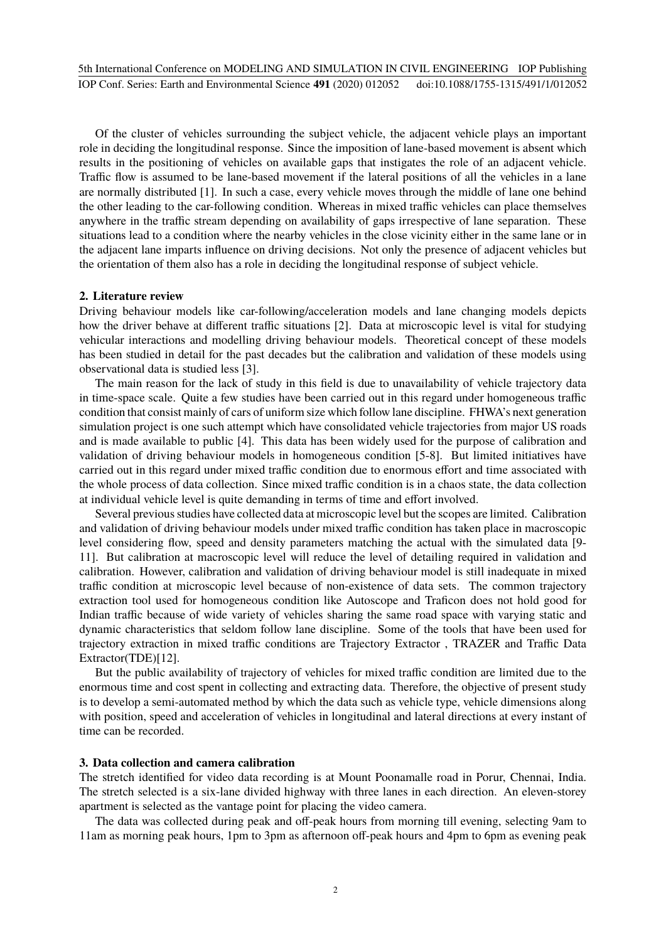Of the cluster of vehicles surrounding the subject vehicle, the adjacent vehicle plays an important role in deciding the longitudinal response. Since the imposition of lane-based movement is absent which results in the positioning of vehicles on available gaps that instigates the role of an adjacent vehicle. Traffic flow is assumed to be lane-based movement if the lateral positions of all the vehicles in a lane are normally distributed [1]. In such a case, every vehicle moves through the middle of lane one behind the other leading to the car-following condition. Whereas in mixed traffic vehicles can place themselves anywhere in the traffic stream depending on availability of gaps irrespective of lane separation. These situations lead to a condition where the nearby vehicles in the close vicinity either in the same lane or in the adjacent lane imparts influence on driving decisions. Not only the presence of adjacent vehicles but the orientation of them also has a role in deciding the longitudinal response of subject vehicle.

#### **2. Literature review**

Driving behaviour models like car-following/acceleration models and lane changing models depicts how the driver behave at different traffic situations [2]. Data at microscopic level is vital for studying vehicular interactions and modelling driving behaviour models. Theoretical concept of these models has been studied in detail for the past decades but the calibration and validation of these models using observational data is studied less [3].

The main reason for the lack of study in this field is due to unavailability of vehicle trajectory data in time-space scale. Quite a few studies have been carried out in this regard under homogeneous traffic condition that consist mainly of cars of uniform size which follow lane discipline. FHWA's next generation simulation project is one such attempt which have consolidated vehicle trajectories from major US roads and is made available to public [4]. This data has been widely used for the purpose of calibration and validation of driving behaviour models in homogeneous condition [5-8]. But limited initiatives have carried out in this regard under mixed traffic condition due to enormous effort and time associated with the whole process of data collection. Since mixed traffic condition is in a chaos state, the data collection at individual vehicle level is quite demanding in terms of time and effort involved.

Several previous studies have collected data at microscopic level but the scopes are limited. Calibration and validation of driving behaviour models under mixed traffic condition has taken place in macroscopic level considering flow, speed and density parameters matching the actual with the simulated data [9- 11]. But calibration at macroscopic level will reduce the level of detailing required in validation and calibration. However, calibration and validation of driving behaviour model is still inadequate in mixed traffic condition at microscopic level because of non-existence of data sets. The common trajectory extraction tool used for homogeneous condition like Autoscope and Traficon does not hold good for Indian traffic because of wide variety of vehicles sharing the same road space with varying static and dynamic characteristics that seldom follow lane discipline. Some of the tools that have been used for trajectory extraction in mixed traffic conditions are Trajectory Extractor , TRAZER and Traffic Data Extractor(TDE)[12].

But the public availability of trajectory of vehicles for mixed traffic condition are limited due to the enormous time and cost spent in collecting and extracting data. Therefore, the objective of present study is to develop a semi-automated method by which the data such as vehicle type, vehicle dimensions along with position, speed and acceleration of vehicles in longitudinal and lateral directions at every instant of time can be recorded.

#### **3. Data collection and camera calibration**

The stretch identified for video data recording is at Mount Poonamalle road in Porur, Chennai, India. The stretch selected is a six-lane divided highway with three lanes in each direction. An eleven-storey apartment is selected as the vantage point for placing the video camera.

The data was collected during peak and off-peak hours from morning till evening, selecting 9am to 11am as morning peak hours, 1pm to 3pm as afternoon off-peak hours and 4pm to 6pm as evening peak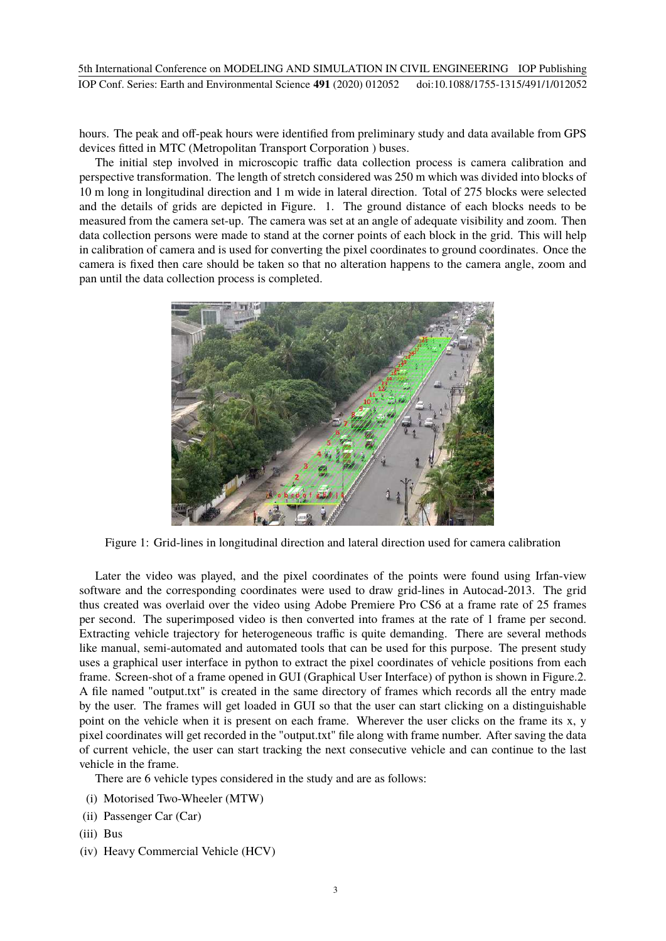hours. The peak and off-peak hours were identified from preliminary study and data available from GPS devices fitted in MTC (Metropolitan Transport Corporation ) buses.

The initial step involved in microscopic traffic data collection process is camera calibration and perspective transformation. The length of stretch considered was 250 m which was divided into blocks of 10 m long in longitudinal direction and 1 m wide in lateral direction. Total of 275 blocks were selected and the details of grids are depicted in Figure. 1. The ground distance of each blocks needs to be measured from the camera set-up. The camera was set at an angle of adequate visibility and zoom. Then data collection persons were made to stand at the corner points of each block in the grid. This will help in calibration of camera and is used for converting the pixel coordinates to ground coordinates. Once the camera is fixed then care should be taken so that no alteration happens to the camera angle, zoom and pan until the data collection process is completed.



Figure 1: Grid-lines in longitudinal direction and lateral direction used for camera calibration

Later the video was played, and the pixel coordinates of the points were found using Irfan-view software and the corresponding coordinates were used to draw grid-lines in Autocad-2013. The grid thus created was overlaid over the video using Adobe Premiere Pro CS6 at a frame rate of 25 frames per second. The superimposed video is then converted into frames at the rate of 1 frame per second. Extracting vehicle trajectory for heterogeneous traffic is quite demanding. There are several methods like manual, semi-automated and automated tools that can be used for this purpose. The present study uses a graphical user interface in python to extract the pixel coordinates of vehicle positions from each frame. Screen-shot of a frame opened in GUI (Graphical User Interface) of python is shown in Figure.2. A file named "output.txt" is created in the same directory of frames which records all the entry made by the user. The frames will get loaded in GUI so that the user can start clicking on a distinguishable point on the vehicle when it is present on each frame. Wherever the user clicks on the frame its x, y pixel coordinates will get recorded in the "output.txt" file along with frame number. After saving the data of current vehicle, the user can start tracking the next consecutive vehicle and can continue to the last vehicle in the frame.

There are 6 vehicle types considered in the study and are as follows:

- (i) Motorised Two-Wheeler (MTW)
- (ii) Passenger Car (Car)
- (iii) Bus
- (iv) Heavy Commercial Vehicle (HCV)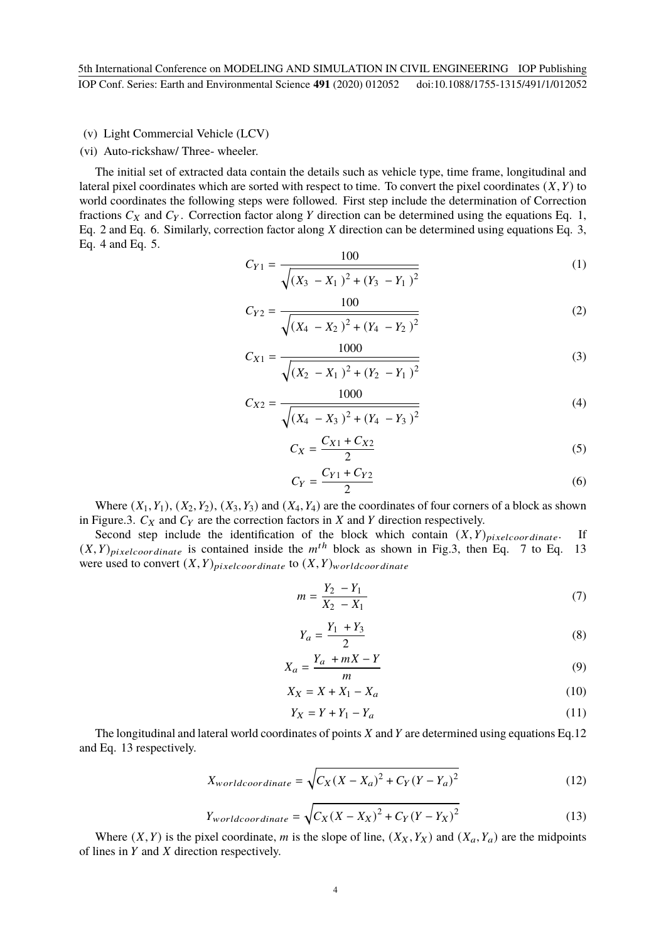#### (v) Light Commercial Vehicle (LCV)

#### (vi) Auto-rickshaw/ Three- wheeler.

The initial set of extracted data contain the details such as vehicle type, time frame, longitudinal and lateral pixel coordinates which are sorted with respect to time. To convert the pixel coordinates  $(X, Y)$  to world coordinates the following steps were followed. First step include the determination of Correction fractions  $C_X$  and  $C_Y$ . Correction factor along Y direction can be determined using the equations Eq. 1, Eq. 2 and Eq. 6. Similarly, correction factor along  $X$  direction can be determined using equations Eq. 3, Eq. 4 and Eq. 5.

$$
C_{Y1} = \frac{100}{\sqrt{(X_3 - X_1)^2 + (Y_3 - Y_1)^2}}
$$
 (1)

$$
C_{Y2} = \frac{100}{\sqrt{(X_4 - X_2)^2 + (Y_4 - Y_2)^2}}
$$
 (2)

$$
C_{X1} = \frac{1000}{\sqrt{(X_2 - X_1)^2 + (Y_2 - Y_1)^2}}
$$
(3)

$$
C_{X2} = \frac{1000}{\sqrt{(X_4 - X_3)^2 + (Y_4 - Y_3)^2}}
$$
(4)

$$
C_X = \frac{C_{X1} + C_{X2}}{2} \tag{5}
$$

$$
C_Y = \frac{C_{Y1} + C_{Y2}}{2}
$$
 (6)

Where  $(X_1, Y_1)$ ,  $(X_2, Y_2)$ ,  $(X_3, Y_3)$  and  $(X_4, Y_4)$  are the coordinates of four corners of a block as shown in Figure.3.  $C_X$  and  $C_Y$  are the correction factors in  $X$  and  $Y$  direction respectively.

Second step include the identification of the block which contain  $(X, Y)_{pixel coordinate}$ . If  $(X, Y)$ <sub>pixelcoordinate</sub> is contained inside the  $m<sup>th</sup>$  block as shown in Fig.3, then Eq. 7 to Eq. 13 were used to convert  $(X, Y)_{pixel coordinate}$  to  $(X, Y)_{world coordinate}$ 

$$
m = \frac{Y_2 - Y_1}{X_2 - X_1} \tag{7}
$$

$$
Y_a = \frac{Y_1 + Y_3}{2} \tag{8}
$$

$$
X_a = \frac{Y_a + mX - Y}{m} \tag{9}
$$

$$
X_X = X + X_1 - X_a \tag{10}
$$

$$
Y_X = Y + Y_1 - Y_a \tag{11}
$$

The longitudinal and lateral world coordinates of points  $X$  and  $Y$  are determined using equations Eq.12 and Eq. 13 respectively.

$$
X_{worldcoordinate} = \sqrt{C_X(X - X_a)^2 + C_Y(Y - Y_a)^2}
$$
 (12)

$$
Y_{worldcoordinate} = \sqrt{C_X(X - X_X)^2 + C_Y(Y - Y_X)^2}
$$
\n(13)

Where  $(X, Y)$  is the pixel coordinate, m is the slope of line,  $(X_X, Y_X)$  and  $(X_a, Y_a)$  are the midpoints of lines in  $Y$  and  $X$  direction respectively.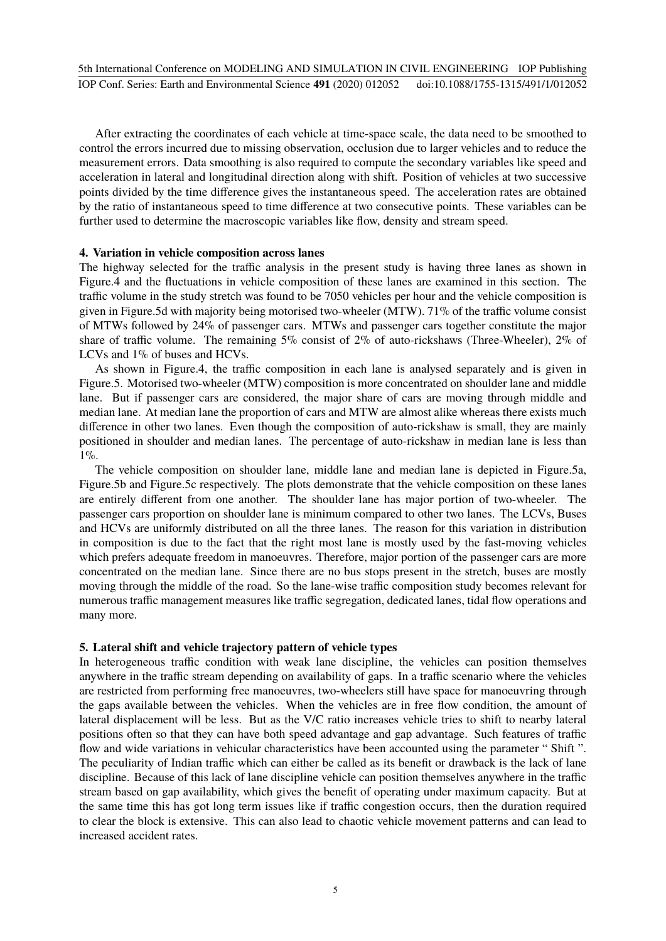After extracting the coordinates of each vehicle at time-space scale, the data need to be smoothed to control the errors incurred due to missing observation, occlusion due to larger vehicles and to reduce the measurement errors. Data smoothing is also required to compute the secondary variables like speed and acceleration in lateral and longitudinal direction along with shift. Position of vehicles at two successive points divided by the time difference gives the instantaneous speed. The acceleration rates are obtained by the ratio of instantaneous speed to time difference at two consecutive points. These variables can be further used to determine the macroscopic variables like flow, density and stream speed.

#### **4. Variation in vehicle composition across lanes**

The highway selected for the traffic analysis in the present study is having three lanes as shown in Figure.4 and the fluctuations in vehicle composition of these lanes are examined in this section. The traffic volume in the study stretch was found to be 7050 vehicles per hour and the vehicle composition is given in Figure.5d with majority being motorised two-wheeler (MTW). 71% of the traffic volume consist of MTWs followed by 24% of passenger cars. MTWs and passenger cars together constitute the major share of traffic volume. The remaining 5% consist of 2% of auto-rickshaws (Three-Wheeler), 2% of LCVs and 1% of buses and HCVs.

As shown in Figure.4, the traffic composition in each lane is analysed separately and is given in Figure.5. Motorised two-wheeler (MTW) composition is more concentrated on shoulder lane and middle lane. But if passenger cars are considered, the major share of cars are moving through middle and median lane. At median lane the proportion of cars and MTW are almost alike whereas there exists much difference in other two lanes. Even though the composition of auto-rickshaw is small, they are mainly positioned in shoulder and median lanes. The percentage of auto-rickshaw in median lane is less than 1%.

The vehicle composition on shoulder lane, middle lane and median lane is depicted in Figure.5a, Figure.5b and Figure.5c respectively. The plots demonstrate that the vehicle composition on these lanes are entirely different from one another. The shoulder lane has major portion of two-wheeler. The passenger cars proportion on shoulder lane is minimum compared to other two lanes. The LCVs, Buses and HCVs are uniformly distributed on all the three lanes. The reason for this variation in distribution in composition is due to the fact that the right most lane is mostly used by the fast-moving vehicles which prefers adequate freedom in manoeuvres. Therefore, major portion of the passenger cars are more concentrated on the median lane. Since there are no bus stops present in the stretch, buses are mostly moving through the middle of the road. So the lane-wise traffic composition study becomes relevant for numerous traffic management measures like traffic segregation, dedicated lanes, tidal flow operations and many more.

#### **5. Lateral shift and vehicle trajectory pattern of vehicle types**

In heterogeneous traffic condition with weak lane discipline, the vehicles can position themselves anywhere in the traffic stream depending on availability of gaps. In a traffic scenario where the vehicles are restricted from performing free manoeuvres, two-wheelers still have space for manoeuvring through the gaps available between the vehicles. When the vehicles are in free flow condition, the amount of lateral displacement will be less. But as the V/C ratio increases vehicle tries to shift to nearby lateral positions often so that they can have both speed advantage and gap advantage. Such features of traffic flow and wide variations in vehicular characteristics have been accounted using the parameter " Shift ". The peculiarity of Indian traffic which can either be called as its benefit or drawback is the lack of lane discipline. Because of this lack of lane discipline vehicle can position themselves anywhere in the traffic stream based on gap availability, which gives the benefit of operating under maximum capacity. But at the same time this has got long term issues like if traffic congestion occurs, then the duration required to clear the block is extensive. This can also lead to chaotic vehicle movement patterns and can lead to increased accident rates.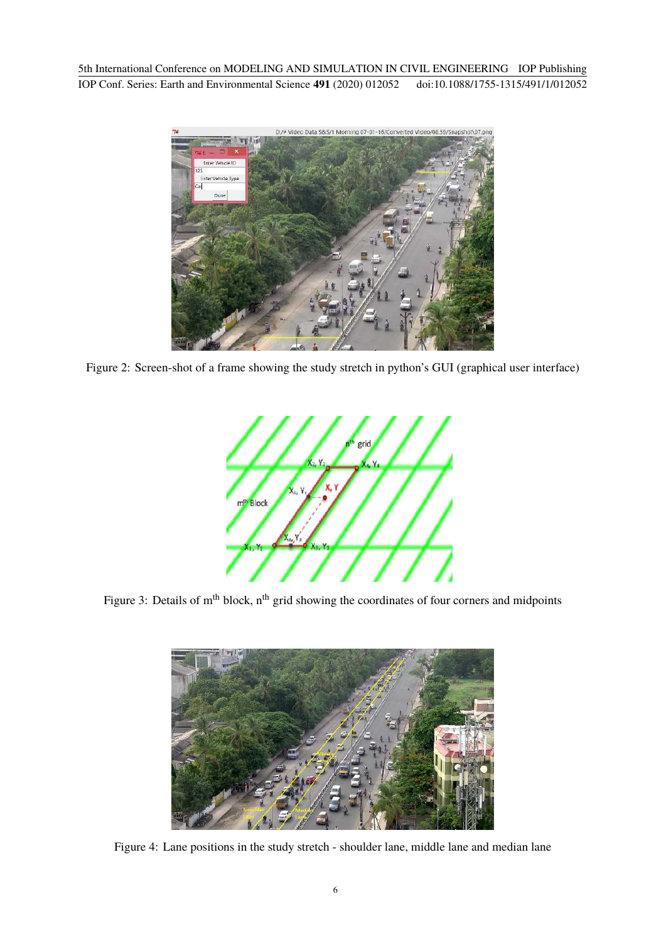

Figure 2: Screen-shot of a frame showing the study stretch in python's GUI (graphical user interface)



Figure 3: Details of m<sup>th</sup> block, n<sup>th</sup> grid showing the coordinates of four corners and midpoints



Figure 4: Lane positions in the study stretch - shoulder lane, middle lane and median lane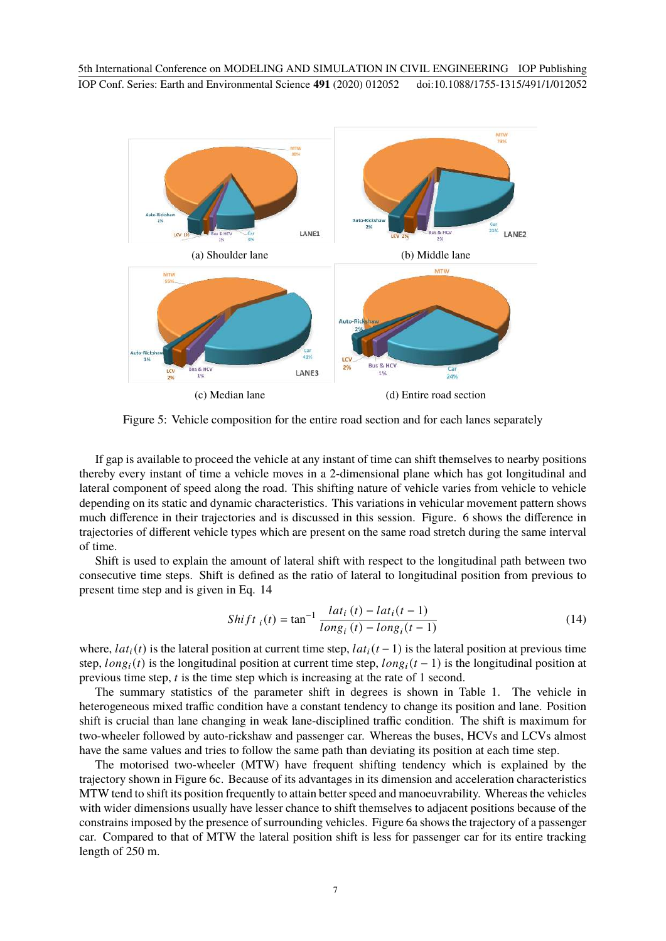

Figure 5: Vehicle composition for the entire road section and for each lanes separately

If gap is available to proceed the vehicle at any instant of time can shift themselves to nearby positions thereby every instant of time a vehicle moves in a 2-dimensional plane which has got longitudinal and lateral component of speed along the road. This shifting nature of vehicle varies from vehicle to vehicle depending on its static and dynamic characteristics. This variations in vehicular movement pattern shows much difference in their trajectories and is discussed in this session. Figure. 6 shows the difference in trajectories of different vehicle types which are present on the same road stretch during the same interval of time.

Shift is used to explain the amount of lateral shift with respect to the longitudinal path between two consecutive time steps. Shift is defined as the ratio of lateral to longitudinal position from previous to present time step and is given in Eq. 14

$$
Shift_{i}(t) = \tan^{-1} \frac{lat_{i}(t) - lat_{i}(t-1)}{long_{i}(t) - long_{i}(t-1)}
$$
(14)

where,  $lat_i(t)$  is the lateral position at current time step,  $lat_i(t-1)$  is the lateral position at previous time step,  $long_i(t)$  is the longitudinal position at current time step,  $long_i(t-1)$  is the longitudinal position at previous time step,  $t$  is the time step which is increasing at the rate of 1 second.

The summary statistics of the parameter shift in degrees is shown in Table 1. The vehicle in heterogeneous mixed traffic condition have a constant tendency to change its position and lane. Position shift is crucial than lane changing in weak lane-disciplined traffic condition. The shift is maximum for two-wheeler followed by auto-rickshaw and passenger car. Whereas the buses, HCVs and LCVs almost have the same values and tries to follow the same path than deviating its position at each time step.

The motorised two-wheeler (MTW) have frequent shifting tendency which is explained by the trajectory shown in Figure 6c. Because of its advantages in its dimension and acceleration characteristics MTW tend to shift its position frequently to attain better speed and manoeuvrability. Whereas the vehicles with wider dimensions usually have lesser chance to shift themselves to adjacent positions because of the constrains imposed by the presence of surrounding vehicles. Figure 6a shows the trajectory of a passenger car. Compared to that of MTW the lateral position shift is less for passenger car for its entire tracking length of 250 m.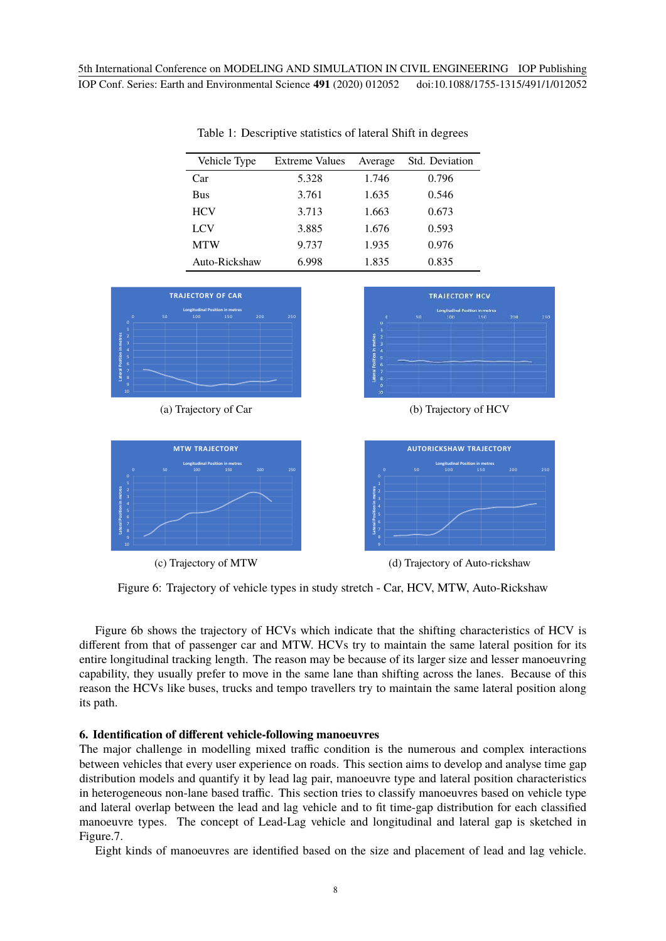| Vehicle Type  | <b>Extreme Values</b> | Average | Std. Deviation |
|---------------|-----------------------|---------|----------------|
| Car           | 5.328                 | 1.746   | 0.796          |
| <b>Bus</b>    | 3.761                 | 1.635   | 0.546          |
| <b>HCV</b>    | 3.713                 | 1.663   | 0.673          |
| LCV           | 3.885                 | 1.676   | 0.593          |
| <b>MTW</b>    | 9.737                 | 1.935   | 0.976          |
| Auto-Rickshaw | 6.998                 | 1.835   | 0.835          |

Table 1: Descriptive statistics of lateral Shift in degrees





(c) Trajectory of MTW

**TRAJECTORY HCV** 

(a) Trajectory of Car (b) Trajectory of HCV



(d) Trajectory of Auto-rickshaw

Figure 6: Trajectory of vehicle types in study stretch - Car, HCV, MTW, Auto-Rickshaw

Figure 6b shows the trajectory of HCVs which indicate that the shifting characteristics of HCV is different from that of passenger car and MTW. HCVs try to maintain the same lateral position for its entire longitudinal tracking length. The reason may be because of its larger size and lesser manoeuvring capability, they usually prefer to move in the same lane than shifting across the lanes. Because of this reason the HCVs like buses, trucks and tempo travellers try to maintain the same lateral position along its path.

#### **6. Identification of different vehicle-following manoeuvres**

The major challenge in modelling mixed traffic condition is the numerous and complex interactions between vehicles that every user experience on roads. This section aims to develop and analyse time gap distribution models and quantify it by lead lag pair, manoeuvre type and lateral position characteristics in heterogeneous non-lane based traffic. This section tries to classify manoeuvres based on vehicle type and lateral overlap between the lead and lag vehicle and to fit time-gap distribution for each classified manoeuvre types. The concept of Lead-Lag vehicle and longitudinal and lateral gap is sketched in Figure.7.

Eight kinds of manoeuvres are identified based on the size and placement of lead and lag vehicle.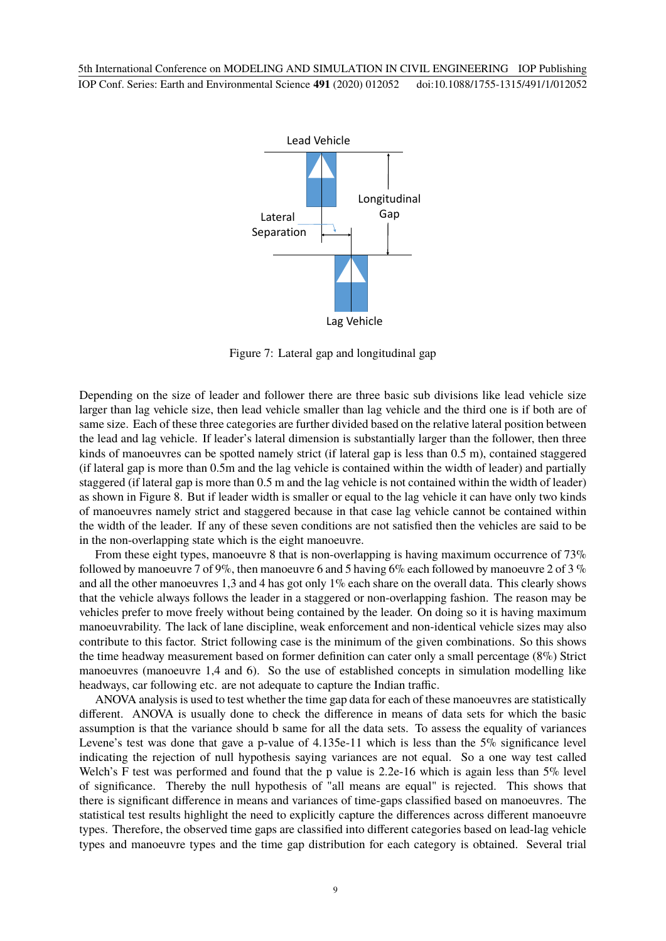

Figure 7: Lateral gap and longitudinal gap

Depending on the size of leader and follower there are three basic sub divisions like lead vehicle size larger than lag vehicle size, then lead vehicle smaller than lag vehicle and the third one is if both are of same size. Each of these three categories are further divided based on the relative lateral position between the lead and lag vehicle. If leader's lateral dimension is substantially larger than the follower, then three kinds of manoeuvres can be spotted namely strict (if lateral gap is less than 0.5 m), contained staggered (if lateral gap is more than 0.5m and the lag vehicle is contained within the width of leader) and partially staggered (if lateral gap is more than 0.5 m and the lag vehicle is not contained within the width of leader) as shown in Figure 8. But if leader width is smaller or equal to the lag vehicle it can have only two kinds of manoeuvres namely strict and staggered because in that case lag vehicle cannot be contained within the width of the leader. If any of these seven conditions are not satisfied then the vehicles are said to be in the non-overlapping state which is the eight manoeuvre.

From these eight types, manoeuvre 8 that is non-overlapping is having maximum occurrence of 73% followed by manoeuvre 7 of 9%, then manoeuvre 6 and 5 having 6% each followed by manoeuvre 2 of 3 % and all the other manoeuvres 1,3 and 4 has got only 1% each share on the overall data. This clearly shows that the vehicle always follows the leader in a staggered or non-overlapping fashion. The reason may be vehicles prefer to move freely without being contained by the leader. On doing so it is having maximum manoeuvrability. The lack of lane discipline, weak enforcement and non-identical vehicle sizes may also contribute to this factor. Strict following case is the minimum of the given combinations. So this shows the time headway measurement based on former definition can cater only a small percentage (8%) Strict manoeuvres (manoeuvre 1,4 and 6). So the use of established concepts in simulation modelling like headways, car following etc. are not adequate to capture the Indian traffic.

ANOVA analysis is used to test whether the time gap data for each of these manoeuvres are statistically different. ANOVA is usually done to check the difference in means of data sets for which the basic assumption is that the variance should b same for all the data sets. To assess the equality of variances Levene's test was done that gave a p-value of 4.135e-11 which is less than the 5% significance level indicating the rejection of null hypothesis saying variances are not equal. So a one way test called Welch's F test was performed and found that the p value is 2.2e-16 which is again less than 5% level of significance. Thereby the null hypothesis of "all means are equal" is rejected. This shows that there is significant difference in means and variances of time-gaps classified based on manoeuvres. The statistical test results highlight the need to explicitly capture the differences across different manoeuvre types. Therefore, the observed time gaps are classified into different categories based on lead-lag vehicle types and manoeuvre types and the time gap distribution for each category is obtained. Several trial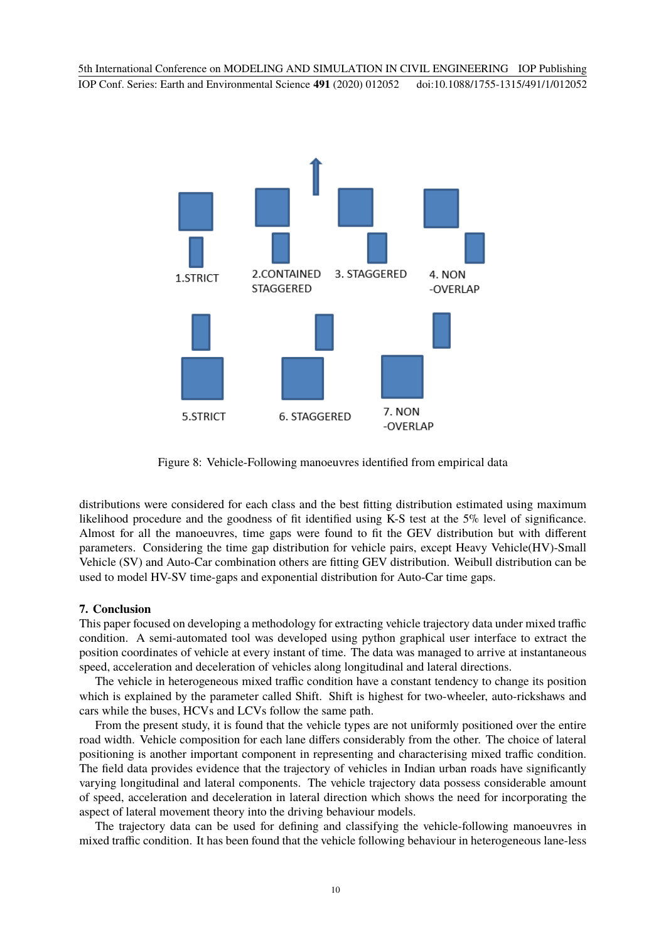

Figure 8: Vehicle-Following manoeuvres identified from empirical data

distributions were considered for each class and the best fitting distribution estimated using maximum likelihood procedure and the goodness of fit identified using K-S test at the 5% level of significance. Almost for all the manoeuvres, time gaps were found to fit the GEV distribution but with different parameters. Considering the time gap distribution for vehicle pairs, except Heavy Vehicle(HV)-Small Vehicle (SV) and Auto-Car combination others are fitting GEV distribution. Weibull distribution can be used to model HV-SV time-gaps and exponential distribution for Auto-Car time gaps.

## **7. Conclusion**

This paper focused on developing a methodology for extracting vehicle trajectory data under mixed traffic condition. A semi-automated tool was developed using python graphical user interface to extract the position coordinates of vehicle at every instant of time. The data was managed to arrive at instantaneous speed, acceleration and deceleration of vehicles along longitudinal and lateral directions.

The vehicle in heterogeneous mixed traffic condition have a constant tendency to change its position which is explained by the parameter called Shift. Shift is highest for two-wheeler, auto-rickshaws and cars while the buses, HCVs and LCVs follow the same path.

From the present study, it is found that the vehicle types are not uniformly positioned over the entire road width. Vehicle composition for each lane differs considerably from the other. The choice of lateral positioning is another important component in representing and characterising mixed traffic condition. The field data provides evidence that the trajectory of vehicles in Indian urban roads have significantly varying longitudinal and lateral components. The vehicle trajectory data possess considerable amount of speed, acceleration and deceleration in lateral direction which shows the need for incorporating the aspect of lateral movement theory into the driving behaviour models.

The trajectory data can be used for defining and classifying the vehicle-following manoeuvres in mixed traffic condition. It has been found that the vehicle following behaviour in heterogeneous lane-less